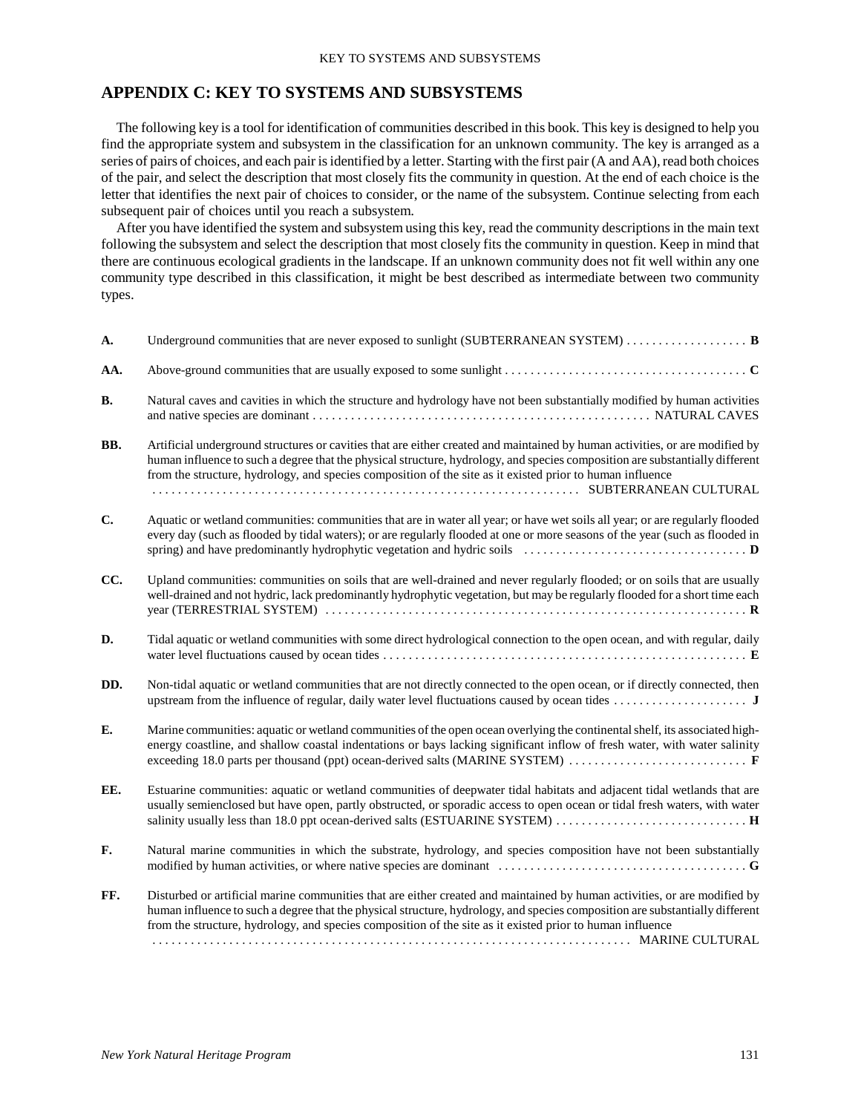## **APPENDIX C: KEY TO SYSTEMS AND SUBSYSTEMS**

The following key is a tool for identification of communities described in this book. This key is designed to help you find the appropriate system and subsystem in the classification for an unknown community. The key is arranged as a series of pairs of choices, and each pair is identified by a letter. Starting with the first pair (A and AA), read both choices of the pair, and select the description that most closely fits the community in question. At the end of each choice is the letter that identifies the next pair of choices to consider, or the name of the subsystem. Continue selecting from each subsequent pair of choices until you reach a subsystem.

After you have identified the system and subsystem using this key, read the community descriptions in the main text following the subsystem and select the description that most closely fits the community in question. Keep in mind that there are continuous ecological gradients in the landscape. If an unknown community does not fit well within any one community type described in this classification, it might be best described as intermediate between two community types.

| A.        | Underground communities that are never exposed to sunlight (SUBTERRANEAN SYSTEM) $\dots \dots \dots \dots \dots$                                                                                                                                                                                                                                                          |
|-----------|---------------------------------------------------------------------------------------------------------------------------------------------------------------------------------------------------------------------------------------------------------------------------------------------------------------------------------------------------------------------------|
| AA.       |                                                                                                                                                                                                                                                                                                                                                                           |
| <b>B.</b> | Natural caves and cavities in which the structure and hydrology have not been substantially modified by human activities                                                                                                                                                                                                                                                  |
| BB.       | Artificial underground structures or cavities that are either created and maintained by human activities, or are modified by<br>human influence to such a degree that the physical structure, hydrology, and species composition are substantially different<br>from the structure, hydrology, and species composition of the site as it existed prior to human influence |
| C.        | Aquatic or wetland communities: communities that are in water all year; or have wet soils all year; or are regularly flooded<br>every day (such as flooded by tidal waters); or are regularly flooded at one or more seasons of the year (such as flooded in                                                                                                              |
| CC.       | Upland communities: communities on soils that are well-drained and never regularly flooded; or on soils that are usually<br>well-drained and not hydric, lack predominantly hydrophytic vegetation, but may be regularly flooded for a short time each                                                                                                                    |
| D.        | Tidal aquatic or wetland communities with some direct hydrological connection to the open ocean, and with regular, daily                                                                                                                                                                                                                                                  |
| DD.       | Non-tidal aquatic or wetland communities that are not directly connected to the open ocean, or if directly connected, then                                                                                                                                                                                                                                                |
| E.        | Marine communities: aquatic or wetland communities of the open ocean overlying the continental shelf, its associated high-<br>energy coastline, and shallow coastal indentations or bays lacking significant inflow of fresh water, with water salinity                                                                                                                   |
| EE.       | Estuarine communities: aquatic or wetland communities of deepwater tidal habitats and adjacent tidal wetlands that are<br>usually semienclosed but have open, partly obstructed, or sporadic access to open ocean or tidal fresh waters, with water                                                                                                                       |
| F.        | Natural marine communities in which the substrate, hydrology, and species composition have not been substantially<br>modified by human activities, or where native species are dominant $\dots \dots \dots \dots \dots \dots \dots \dots \dots \dots$                                                                                                                     |
| FF.       | Disturbed or artificial marine communities that are either created and maintained by human activities, or are modified by<br>human influence to such a degree that the physical structure, hydrology, and species composition are substantially different<br>from the structure, hydrology, and species composition of the site as it existed prior to human influence    |
|           |                                                                                                                                                                                                                                                                                                                                                                           |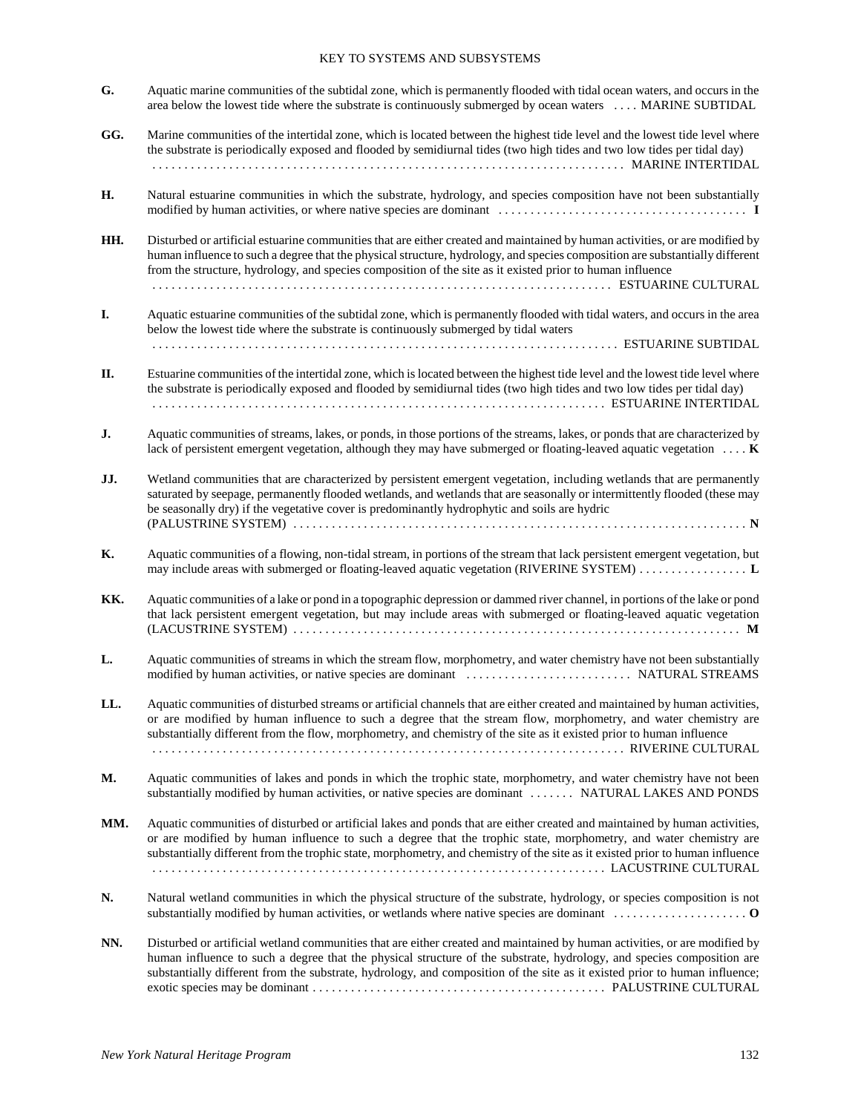## KEY TO SYSTEMS AND SUBSYSTEMS

- **G.** Aquatic marine communities of the subtidal zone, which is permanently flooded with tidal ocean waters, and occurs in the area below the lowest tide where the substrate is continuously submerged by ocean waters . . . . MARINE SUBTIDAL
- **GG.** Marine communities of the intertidal zone, which is located between the highest tide level and the lowest tide level where the substrate is periodically exposed and flooded by semidiurnal tides (two high tides and two low tides per tidal day) . . . . . . . . . . . . . . . . . . . . . . . . . . . . . . . . . . . . . . . . . . . . . . . . . . . . . . . . . . . . . . . . . . . . . . . . . . MARINE INTERTIDAL
- **H.** Natural estuarine communities in which the substrate, hydrology, and species composition have not been substantially modified by human activities, or where native species are dominant ....................................... **I**
- **HH.** Disturbed or artificial estuarine communities that are either created and maintained by human activities, or are modified by human influence to such a degree that the physical structure, hydrology, and species composition are substantially different from the structure, hydrology, and species composition of the site as it existed prior to human influence . . . . . . . . . . . . . . . . . . . . . . . . . . . . . . . . . . . . . . . . . . . . . . . . . . . . . . . . . . . . . . . . . . . . . . . . ESTUARINE CULTURAL
- **I.** Aquatic estuarine communities of the subtidal zone, which is permanently flooded with tidal waters, and occurs in the area below the lowest tide where the substrate is continuously submerged by tidal waters . . . . . . . . . . . . . . . . . . . . . . . . . . . . . . . . . . . . . . . . . . . . . . . . . . . . . . . . . . . . . . . . . . . . . . . . . ESTUARINE SUBTIDAL
- **II.** Estuarine communities of the intertidal zone, which is located between the highest tide level and the lowest tide level where the substrate is periodically exposed and flooded by semidiurnal tides (two high tides and two low tides per tidal day) . . . . . . . . . . . . . . . . . . . . . . . . . . . . . . . . . . . . . . . . . . . . . . . . . . . . . . . . . . . . . . . . . . . . . . . ESTUARINE INTERTIDAL
- **J.** Aquatic communities of streams, lakes, or ponds, in those portions of the streams, lakes, or ponds that are characterized by lack of persistent emergent vegetation, although they may have submerged or floating-leaved aquatic vegetation .... **K**
- **JJ.** Wetland communities that are characterized by persistent emergent vegetation, including wetlands that are permanently saturated by seepage, permanently flooded wetlands, and wetlands that are seasonally or intermittently flooded (these may be seasonally dry) if the vegetative cover is predominantly hydrophytic and soils are hydric (PALUSTRINE SYSTEM) . . . . . . . . . . . . . . . . . . . . . . . . . . . . . . . . . . . . . . . . . . . . . . . . . . . . . . . . . . . . . . . . . . . . . . . **N**
- **K.** Aquatic communities of a flowing, non-tidal stream, in portions of the stream that lack persistent emergent vegetation, but may include areas with submerged or floating-leaved aquatic vegetation (RIVERINE SYSTEM) . . . . . . . . . . . . . . . . . **L**
- **KK.** Aquatic communities of a lake or pond in a topographic depression or dammed river channel, in portions of the lake or pond that lack persistent emergent vegetation, but may include areas with submerged or floating-leaved aquatic vegetation (LACUSTRINE SYSTEM) . . . . . . . . . . . . . . . . . . . . . . . . . . . . . . . . . . . . . . . . . . . . . . . . . . . . . . . . . . . . . . . . . . . . . . **M**
- **L.** Aquatic communities of streams in which the stream flow, morphometry, and water chemistry have not been substantially modified by human activities, or native species are dominant . . . . . . . . . . . . . . . . . . . . . . . . . . NATURAL STREAMS
- **LL.** Aquatic communities of disturbed streams or artificial channels that are either created and maintained by human activities, or are modified by human influence to such a degree that the stream flow, morphometry, and water chemistry are substantially different from the flow, morphometry, and chemistry of the site as it existed prior to human influence . . . . . . . . . . . . . . . . . . . . . . . . . . . . . . . . . . . . . . . . . . . . . . . . . . . . . . . . . . . . . . . . . . . . . . . . . . RIVERINE CULTURAL
- **M.** Aquatic communities of lakes and ponds in which the trophic state, morphometry, and water chemistry have not been substantially modified by human activities, or native species are dominant ....... NATURAL LAKES AND PONDS
- **MM.** Aquatic communities of disturbed or artificial lakes and ponds that are either created and maintained by human activities, or are modified by human influence to such a degree that the trophic state, morphometry, and water chemistry are substantially different from the trophic state, morphometry, and chemistry of the site as it existed prior to human influence . . . . . . . . . . . . . . . . . . . . . . . . . . . . . . . . . . . . . . . . . . . . . . . . . . . . . . . . . . . . . . . . . . . . . . . LACUSTRINE CULTURAL
- **N.** Natural wetland communities in which the physical structure of the substrate, hydrology, or species composition is not substantially modified by human activities, or wetlands where native species are dominant ..................... **O**
- **NN.** Disturbed or artificial wetland communities that are either created and maintained by human activities, or are modified by human influence to such a degree that the physical structure of the substrate, hydrology, and species composition are substantially different from the substrate, hydrology, and composition of the site as it existed prior to human influence; exotic species may be dominant . . . . . . . . . . . . . . . . . . . . . . . . . . . . . . . . . . . . . . . . . . . . . . PALUSTRINE CULTURAL